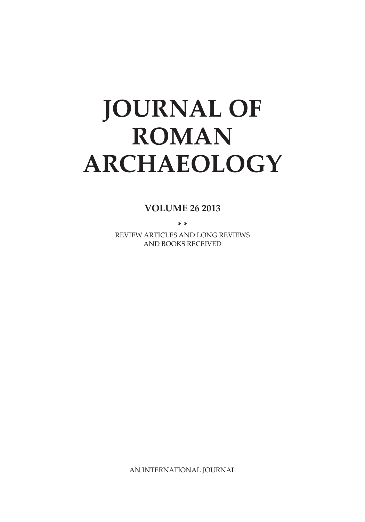# **JOURNAL OF ROMAN ARCHAEOLOGY**

**VOLUME 26 2013**

\* \*

REVIEW ARTICLES AND LONG REVIEWS AND BOOKS RECEIVED

AN INTERNATIONAL JOURNAL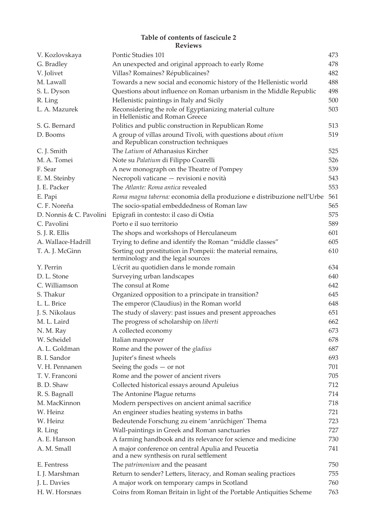### **Table of contents of fascicule 2 Reviews**

| V. Kozlovskaya          | Pontic Studies 101                                                                                    | 473 |
|-------------------------|-------------------------------------------------------------------------------------------------------|-----|
| G. Bradley              | An unexpected and original approach to early Rome                                                     | 478 |
| V. Jolivet              | Villas? Romaines? Républicaines?                                                                      | 482 |
| M. Lawall               | Towards a new social and economic history of the Hellenistic world                                    | 488 |
| S. L. Dyson             | Questions about influence on Roman urbanism in the Middle Republic                                    | 498 |
| R. Ling                 | Hellenistic paintings in Italy and Sicily                                                             | 500 |
| L. A. Mazurek           | Reconsidering the role of Egyptianizing material culture<br>in Hellenistic and Roman Greece           | 503 |
| S. G. Bernard           | Politics and public construction in Republican Rome                                                   | 513 |
| D. Booms                | A group of villas around Tivoli, with questions about otium<br>and Republican construction techniques | 519 |
| C. J. Smith             | The Latium of Athanasius Kircher                                                                      | 525 |
| M. A. Tomei             | Note su Palatium di Filippo Coarelli                                                                  | 526 |
| F. Sear                 | A new monograph on the Theatre of Pompey                                                              | 539 |
| E. M. Steinby           | Necropoli vaticane — revisioni e novità                                                               | 543 |
| J. E. Packer            | The Atlante: Roma antica revealed                                                                     | 553 |
| E. Papi                 | Roma magna taberna: economia della produzione e distribuzione nell'Urbe                               | 561 |
| C. F. Noreña            | The socio-spatial embeddedness of Roman law                                                           | 565 |
| D. Nonnis & C. Pavolini | Epigrafi in contesto: il caso di Ostia                                                                | 575 |
| C. Pavolini             | Porto e il suo territorio                                                                             | 589 |
| S. J. R. Ellis          | The shops and workshops of Herculaneum                                                                | 601 |
| A. Wallace-Hadrill      | Trying to define and identify the Roman "middle classes"                                              | 605 |
| T. A. J. McGinn         | Sorting out prostitution in Pompeii: the material remains,<br>terminology and the legal sources       | 610 |
| Y. Perrin               | L'écrit au quotidien dans le monde romain                                                             | 634 |
| D. L. Stone             | Surveying urban landscapes                                                                            | 640 |
| C. Williamson           | The consul at Rome                                                                                    | 642 |
| S. Thakur               | Organized opposition to a principate in transition?                                                   | 645 |
| L. L. Brice             | The emperor (Claudius) in the Roman world                                                             | 648 |
| J. S. Nikolaus          | The study of slavery: past issues and present approaches                                              | 651 |
| M. L. Laird             | The progress of scholarship on liberti                                                                | 662 |
| N. M. Ray               | A collected economy                                                                                   | 673 |
| W. Scheidel             | Italian manpower                                                                                      | 678 |
| A. L. Goldman           | Rome and the power of the gladius                                                                     | 687 |
| B. I. Sandor            | Jupiter's finest wheels                                                                               | 693 |
| V. H. Pennanen          | Seeing the gods $-$ or not                                                                            | 701 |
| T. V. Franconi          | Rome and the power of ancient rivers                                                                  | 705 |
| B. D. Shaw              | Collected historical essays around Apuleius                                                           | 712 |
| R. S. Bagnall           | The Antonine Plague returns                                                                           | 714 |
| M. MacKinnon            | Modern perspectives on ancient animal sacrifice                                                       | 718 |
| W. Heinz                | An engineer studies heating systems in baths                                                          | 721 |
| W. Heinz                | Bedeutende Forschung zu einem 'anrüchigen' Thema                                                      | 723 |
| R. Ling                 | Wall-paintings in Greek and Roman sanctuaries                                                         | 727 |
| A. E. Hanson            | A farming handbook and its relevance for science and medicine                                         | 730 |
| A. M. Small             | A major conference on central Apulia and Peucetia<br>and a new synthesis on rural settlement          | 741 |
| E. Fentress             | The <i>patrimonium</i> and the peasant                                                                | 750 |
| I. J. Marshman          | Return to sender? Letters, literacy, and Roman sealing practices                                      | 755 |
| J. L. Davies            | A major work on temporary camps in Scotland                                                           | 760 |
| H. W. Horsnæs           | Coins from Roman Britain in light of the Portable Antiquities Scheme                                  | 763 |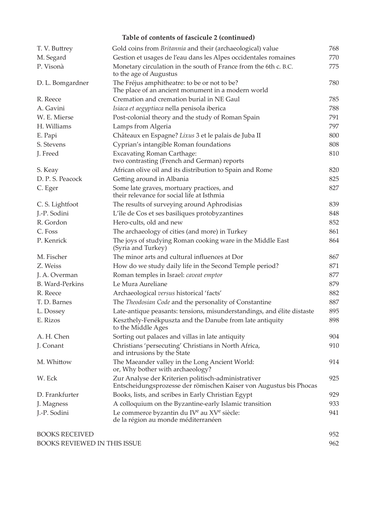### **Table of contents of fascicule 2 (continued)**

| T. V. Buttrey          | Gold coins from <i>Britannia</i> and their (archaeological) value                                                         | 768  |
|------------------------|---------------------------------------------------------------------------------------------------------------------------|------|
| M. Segard              | Gestion et usages de l'eau dans les Alpes occidentales romaines                                                           | 770  |
| P. Visonà              | Monetary circulation in the south of France from the 6th c. B.C.<br>to the age of Augustus                                | 775  |
| D. L. Bomgardner       | The Fréjus amphitheatre: to be or not to be?<br>The place of an ancient monument in a modern world                        | 780  |
| R. Reece               | Cremation and cremation burial in NE Gaul                                                                                 | 785  |
| A. Gavini              | Isiaca et aegyptiaca nella penisola iberica                                                                               | 788  |
| W. E. Mierse           | Post-colonial theory and the study of Roman Spain                                                                         | 791  |
| H. Williams            | Lamps from Algeria                                                                                                        | 797  |
| E. Papi                | Châteaux en Espagne? Lixus 3 et le palais de Juba II                                                                      | 800  |
| S. Stevens             | Cyprian's intangible Roman foundations                                                                                    | 808  |
| J. Freed               | <b>Excavating Roman Carthage:</b><br>two contrasting (French and German) reports                                          | 810  |
| S. Keay                | African olive oil and its distribution to Spain and Rome                                                                  | 820  |
| D. P. S. Peacock       | Getting around in Albania                                                                                                 | 825  |
| C. Eger                | Some late graves, mortuary practices, and<br>their relevance for social life at Isthmia                                   | 827  |
| C. S. Lightfoot        | The results of surveying around Aphrodisias                                                                               | 839  |
| J.-P. Sodini           | L'île de Cos et ses basiliques protobyzantines                                                                            | 848  |
| R. Gordon              | Hero-cults, old and new                                                                                                   | 852  |
| C. Foss                | The archaeology of cities (and more) in Turkey                                                                            | 861  |
| P. Kenrick             | The joys of studying Roman cooking ware in the Middle East<br>(Syria and Turkey)                                          | 864  |
| M. Fischer             | The minor arts and cultural influences at Dor                                                                             | 867  |
| Z. Weiss               | How do we study daily life in the Second Temple period?                                                                   | 871  |
| J. A. Overman          | Roman temples in Israel: <i>caveat emptor</i>                                                                             | 877  |
| <b>B.</b> Ward-Perkins | Le Mura Aureliane                                                                                                         | 879  |
| R. Reece               | Archaeological versus historical 'facts'                                                                                  | 882  |
| T. D. Barnes           | The Theodosian Code and the personality of Constantine                                                                    | 887  |
| L. Dossey              | Late-antique peasants: tensions, misunderstandings, and élite distaste                                                    | 895  |
| E. Rizos               | Keszthely-Fenékpuszta and the Danube from late antiquity<br>to the Middle Ages                                            | 898  |
| A. H. Chen             | Sorting out palaces and villas in late antiquity                                                                          | 904  |
| J. Conant              | Christians 'persecuting' Christians in North Africa,<br>and intrusions by the State                                       | 910  |
| M. Whittow             | The Maeander valley in the Long Ancient World:<br>or, Why bother with archaeology?                                        | 914  |
| W. Eck                 | Zur Analyse der Kriterien politisch-administrativer<br>Entscheidungsprozesse der römischen Kaiser von Augustus bis Phocas | 925  |
| D. Frankfurter         | Books, lists, and scribes in Early Christian Egypt                                                                        | 929. |
| J. Magness             | A colloquium on the Byzantine-early Islamic transition                                                                    | 933  |
| J.-P. Sodini           | Le commerce byzantin du IV <sup>e</sup> au XV <sup>e</sup> siècle:<br>de la région au monde méditerranéen                 | 941  |
| <b>BOOKS RECEIVED</b>  |                                                                                                                           | 952  |

BOOKS REVIEWED IN THIS ISSUE 2008 1962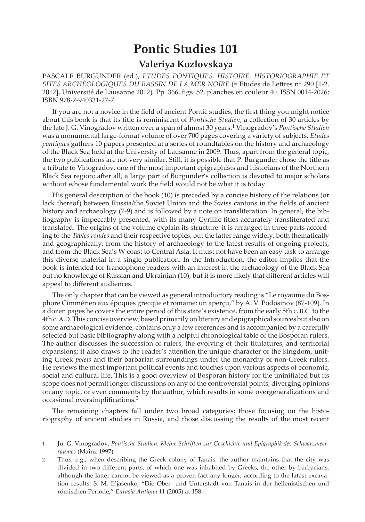# **Pontic Studies 101**

## **Valeriya Kozlovskaya**

PASCALE BURGUNDER (ed.), *ETUDES PONTIQUES. HISTOIRE, HISTORIOGRAPHIE ET SITES ARCHÉOLOGIQUES DU BASSIN DE LA MER NOIRE* (= Etudes de Letres n° 290 [1-2, 2012], Université de Lausanne 2012). Pp. 366, igs. 52, planches en couleur 40. ISSN 0014-2026; ISBN 978-2-940331-27-7.

If you are not a novice in the ield of ancient Pontic studies, the irst thing you might notice about this book is that its title is reminiscent of *Pontische Studien*, a collection of 30 articles by the late J. G. Vinogradov writen over a span of almost 30 years.<sup>1</sup> Vinogradov's *Pontische Studien* was a monumental large-format volume of over 700 pages covering a variety of subjects. *Etudes pontiques* gathers 10 papers presented at a series of roundtables on the history and archaeology of the Black Sea held at the University of Lausanne in 2009. Thus, apart from the general topic, the two publications are not very similar. Still, it is possible that P. Burgunder chose the title as a tribute to Vinogradov, one of the most important epigraphists and historians of the Northern Black Sea region; after all, a large part of Burgunder's collection is devoted to major scholars without whose fundamental work the field would not be what it is today.

His general description of the book (10) is preceded by a concise history of the relations (or lack thereof) between Russia/the Soviet Union and the Swiss cantons in the ields of ancient history and archaeology (7-9) and is followed by a note on transliteration. In general, the bibliography is impeccably presented, with its many Cyrillic titles accurately transliterated and translated. The origins of the volume explain its structure: it is arranged in three parts according to the *Tables rondes* and their respective topics, but the later range widely, both thematically and geographically, from the history of archaeology to the latest results of ongoing projects, and from the Black Sea's W coast to Central Asia. It must not have been an easy task to arrange this diverse material in a single publication. In the Introduction, the editor implies that the book is intended for francophone readers with an interest in the archaeology of the Black Sea but no knowledge of Russian and Ukrainian (10), but it is more likely that diferent articles will appeal to diferent audiences.

The only chapter that can be viewed as general introductory reading is "Le royaume du Bosphore Cimmérien aux époques grecque et romaine: un aperçu," by A. V. Podosinov (87-109). In a dozen pages he covers the entire period of this state's existence, from the early 5th c. B.C. to the 4th c. A.D. This concise overview, based primarily on literary and epigraphical sources but also on some archaeological evidence, contains only a few references and is accompanied by a carefully selected but basic bibliography along with a helpful chronological table of the Bosporan rulers. The author discusses the succession of rulers, the evolving of their titulatures, and territorial expansions; it also draws to the reader's attention the unique character of the kingdom, uniting Greek *poleis* and their barbarian surroundings under the monarchy of non-Greek rulers. He reviews the most important political events and touches upon various aspects of economic, social and cultural life. This is a good overview of Bosporan history for the uninitiated but its scope does not permit longer discussions on any of the controversial points, diverging opinions on any topic, or even comments by the author, which results in some overgeneralizations and occasional oversimplifications.<sup>2</sup>

The remaining chapters fall under two broad categories: those focusing on the historiography of ancient studies in Russia, and those discussing the results of the most recent

<sup>1</sup> Ju. G. Vinogradov, *Pontische Studien. Kleine Schriften zur Geschichte und Epigraphik des Schwarzmeerraumes* (Mainz 1997).

<sup>2</sup> Thus, e.g., when describing the Greek colony of Tanais, the author maintains that the city was divided in two diferent parts, of which one was inhabited by Greeks, the other by barbarians, although the later cannot be viewed as a proven fact any longer, according to the latest excavation results: S. M. Il'jašenko, "Die Ober- und Unterstadt von Tanais in der hellenistischen und römischen Periode," *Eurasia Antiqua* 11 (2005) at 158.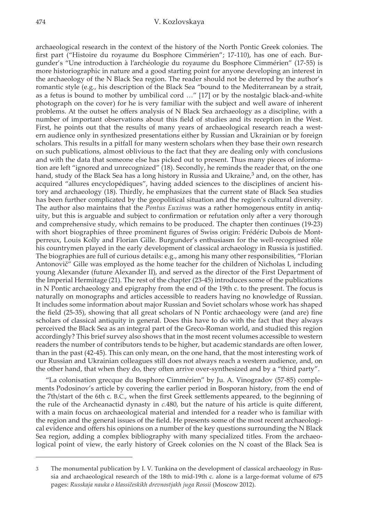archaeological research in the context of the history of the North Pontic Greek colonies. The irst part ("Histoire du royaume du Bosphore Cimmérien"; 17-110), has one of each. Burgunder's "Une introduction à l'archéologie du royaume du Bosphore Cimmérien" (17-55) is more historiographic in nature and a good starting point for anyone developing an interest in the archaeology of the N Black Sea region. The reader should not be deterred by the author's romantic style (e.g., his description of the Black Sea "bound to the Mediterranean by a strait, as a fetus is bound to mother by umbilical cord …" [17] or by the nostalgic black-and-white photograph on the cover) for he is very familiar with the subject and well aware of inherent problems. At the outset he ofers analysis of N Black Sea archaeology as a discipline, with a number of important observations about this ield of studies and its reception in the West. First, he points out that the results of many years of archaeological research reach a western audience only in synthesized presentations either by Russian and Ukrainian or by foreign scholars. This results in a pitfall for many western scholars when they base their own research on such publications, almost oblivious to the fact that they are dealing only with conclusions and with the data that someone else has picked out to present. Thus many pieces of information are left "ignored and unrecognized" (18). Secondly, he reminds the reader that, on the one hand, study of the Black Sea has a long history in Russia and Ukraine,<sup>3</sup> and, on the other, has acquired "allures encyclopédiques", having added sciences to the disciplines of ancient history and archaeology (18). Thirdly, he emphasizes that the current state of Black Sea studies has been further complicated by the geopolitical situation and the region's cultural diversity. The author also maintains that the *Pontus Euxinus* was a rather homogenous entity in antiquity, but this is arguable and subject to conirmation or refutation only after a very thorough and comprehensive study, which remains to be produced. The chapter then continues (19-23) with short biographies of three prominent igures of Swiss origin: Frédéric Dubois de Montperreux, Louis Kolly and Florian Gille. Burgunder's enthusiasm for the well-recognised rôle his countrymen played in the early development of classical archaeology in Russia is justified. The biographies are full of curious details: e.g., among his many other responsibilities, "Florian Antonovič" Gille was employed as the home teacher for the children of Nicholas I, including young Alexander (future Alexander II), and served as the director of the First Department of the Imperial Hermitage (21). The rest of the chapter (23-45) introduces some of the publications in N Pontic archaeology and epigraphy from the end of the 19th c. to the present. The focus is naturally on monographs and articles accessible to readers having no knowledge of Russian. It includes some information about major Russian and Soviet scholars whose work has shaped the ield (25-35), showing that all great scholars of N Pontic archaeology were (and are) ine scholars of classical antiquity in general. Does this have to do with the fact that they always perceived the Black Sea as an integral part of the Greco-Roman world, and studied this region accordingly? This brief survey also shows that in the most recent volumes accessible to western readers the number of contributors tends to be higher, but academic standards are often lower, than in the past (42-45). This can only mean, on the one hand, that the most interesting work of our Russian and Ukrainian colleagues still does not always reach a western audience, and, on the other hand, that when they do, they often arrive over-synthesized and by a "third party".

"La colonisation grecque du Bosphore Cimmérien" by Ju. A. Vinogradov (57-85) complements Podosinov's article by covering the earlier period in Bosporan history, from the end of the 7th/start of the 6th c. B.C., when the irst Greek setlements appeared, to the beginning of the rule of the Archeanactid dynasty in *c.*480, but the nature of his article is quite diferent, with a main focus on archaeological material and intended for a reader who is familiar with the region and the general issues of the ield. He presents some of the most recent archaeological evidence and ofers his opinions on a number of the key questions surrounding the N Black Sea region, adding a complex bibliography with many specialized titles. From the archaeological point of view, the early history of Greek colonies on the N coast of the Black Sea is

<sup>3</sup> The monumental publication by I. V. Tunkina on the development of classical archaeology in Russia and archaeological research of the 18th to mid-19th c. alone is a large-format volume of 675 pages: *Russkaja nauka o klassičeskikh drevnostjakh juga Rossii* (Moscow 2012).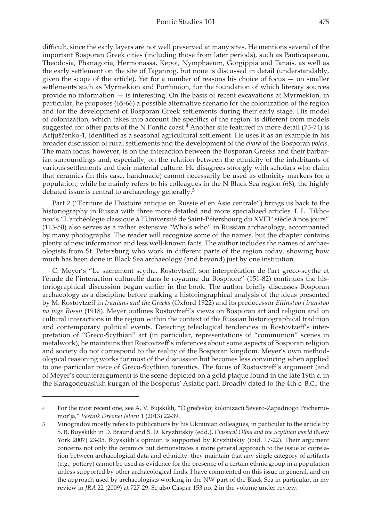difficult, since the early layers are not well preserved at many sites. He mentions several of the important Bosporan Greek cities (including those from later periods), such as Panticapaeum, Theodosia, Phanagoria, Hermonassa, Kepoi, Nymphaeum, Gorgippia and Tanais, as well as the early setlement on the site of Taganrog, but none is discussed in detail (understandably, given the scope of the article). Yet for a number of reasons his choice of focus — on smaller setlements such as Myrmekion and Porthmion, for the foundation of which literary sources provide no information — is interesting. On the basis of recent excavations at Myrmekion, in particular, he proposes (65-66) a possible alternative scenario for the colonization of the region and for the development of Bosporan Greek setlements during their early stage. His model of colonization, which takes into account the speciics of the region, is diferent from models suggested for other parts of the N Pontic coast.<sup>4</sup> Another site featured in more detail (73-74) is Artjuščenko-1, identiied as a seasonal agricultural setlement. He uses it as an example in his broader discussion of rural setlements and the development of the *chora* of the Bosporan *poleis*. The main focus, however, is on the interaction between the Bosporan Greeks and their barbarian surroundings and, especially, on the relation between the ethnicity of the inhabitants of various setlements and their material culture. He disagrees strongly with scholars who claim that ceramics (in this case, handmade) cannot necessarily be used as ethnicity markers for a population; while he mainly refers to his colleagues in the N Black Sea region (68), the highly debated issue is central to archaeology generally.<sup>5</sup>

Part 2 ("Ecriture de l'histoire antique en Russie et en Asie centrale") brings us back to the historiography in Russia with three more detailed and more specialized articles. I. L. Tikhonov's "L'archéologie classique à l'Université de Saint-Pétersbourg du XVIII<sup>e</sup> siècle à nos jours" (113-50) also serves as a rather extensive "Who's who" in Russian archaeology, accompanied by many photographs. The reader will recognize some of the names, but the chapter contains plenty of new information and less well-known facts. The author includes the names of archaeologists from St. Petersburg who work in diferent parts of the region today, showing how much has been done in Black Sea archaeology (and beyond) just by one institution.

C. Meyer's "Le sacrement scythe. Rostovtsef, son interprétation de l'art gréco-scythe et l'étude de l'interaction culturelle dans le royaume du Bosphore" (151-82) continues the historiographical discussion begun earlier in the book. The author briely discusses Bosporan archaeology as a discipline before making a historiographical analysis of the ideas presented by M. Rostovzef in *Iranians and the Greeks* (Oxford 1922) and its predecessor *Ellinstvo i iranstvo na juge Rossii* (1918). Meyer outlines Rostovzef's views on Bosporan art and religion and on cultural interactions in the region within the context of the Russian historiographical tradition and contemporary political events. Detecting teleological tendencies in Rostovzef's interpretation of "Greco-Scythian" art (in particular, representations of "communion" scenes in metalwork), he maintains that Rostovzef's inferences about some aspects of Bosporan religion and society do not correspond to the reality of the Bosporan kingdom. Meyer's own methodological reasoning works for most of the discussion but becomes less convincing when applied to one particular piece of Greco-Scythian toreutics. The focus of Rostovzef's argument (and of Meyer's counterargument) is the scene depicted on a gold plaque found in the late 19th c. in the Karagodeuashkh kurgan of the Bosporus' Asiatic part. Broadly dated to the 4th c. B.C., the

<sup>4</sup> For the most recent one, see A. V. Bujskikh, "O grečeskoj kolonizacii Severo-Zapadnogo Prichernomor'ja," *Vestnik Drevnei Istorii* 1 (2013) 22-39.

<sup>5</sup> Vinogradov mostly refers to publications by his Ukrainian colleagues, in particular to the article by S. B. Buyskikh in D. Braund and S. D. Kryzhitskiy (edd.), *Classical Olbia and the Scythian world* (New York 2007) 23-35. Buyskikh's opinion is supported by Kryzhitskiy (ibid. 17-22). Their argument concerns not only the ceramics but demonstrates a more general approach to the issue of correlation between archaeological data and ethnicity: they maintain that any single category of artifacts (e.g., potery) cannot be used as evidence for the presence of a certain ethnic group in a population unless supported by other archaeological inds. I have commented on this issue in general, and on the approach used by archaeologists working in the NW part of the Black Sea in particular, in my review in *JRA* 22 (2009) at 727-29. Se also Caspar 153 no. 2 in the volume under review.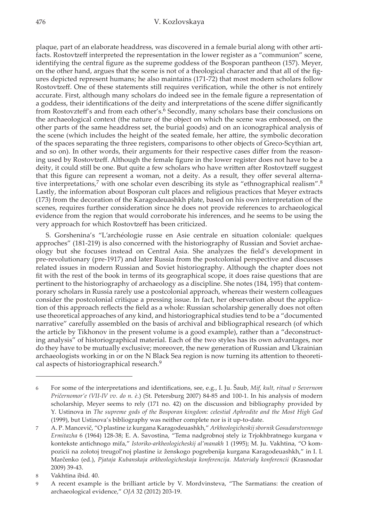plaque, part of an elaborate headdress, was discovered in a female burial along with other artifacts. Rostovtzeff interpreted the representation in the lower register as a "communion" scene, identifying the central igure as the supreme goddess of the Bosporan pantheon (157). Meyer, on the other hand, argues that the scene is not of a theological character and that all of the igures depicted represent humans; he also maintains (171-72) that most modern scholars follow Rostovtzeff. One of these statements still requires verification, while the other is not entirely accurate. First, although many scholars do indeed see in the female igure a representation of a goddess, their identifications of the deity and interpretations of the scene differ significantly from Rostovzteff's and from each other's.<sup>6</sup> Secondly, many scholars base their conclusions on the archaeological context (the nature of the object on which the scene was embossed, on the other parts of the same headdress set, the burial goods) and on an iconographical analysis of the scene (which includes the height of the seated female, her atire, the symbolic decoration of the spaces separating the three registers, comparisons to other objects of Greco-Scythian art, and so on). In other words, their arguments for their respective cases difer from the reasoning used by Rostovzef. Although the female igure in the lower register does not have to be a deity, it could still be one. But quite a few scholars who have written after Rostovtzeff suggest that this igure can represent a woman, not a deity. As a result, they ofer several alternative interpretations,<sup>7</sup> with one scholar even describing its style as "ethnographical realism".<sup>8</sup> Lastly, the information about Bosporan cult places and religious practices that Meyer extracts (173) from the decoration of the Karagodeuashkh plate, based on his own interpretation of the scenes, requires further consideration since he does not provide references to archaeological evidence from the region that would corroborate his inferences, and he seems to be using the very approach for which Rostovtzeff has been criticized.

S. Gorshenina's "L'archéologie russe en Asie centrale en situation coloniale: quelques approches" (181-219) is also concerned with the historiography of Russian and Soviet archaeology but she focuses instead on Central Asia. She analyzes the ield's development in pre-revolutionary (pre-1917) and later Russia from the postcolonial perspective and discusses related issues in modern Russian and Soviet historiography. Although the chapter does not it with the rest of the book in terms of its geographical scope, it does raise questions that are pertinent to the historiography of archaeology as a discipline. She notes (184, 195) that contemporary scholars in Russia rarely use a postcolonial approach, whereas their western colleagues consider the postcolonial critique a pressing issue. In fact, her observation about the application of this approach relects the ield as a whole: Russian scholarship generally does not often use theoretical approaches of any kind, and historiographical studies tend to be a "documented narrative" carefully assembled on the basis of archival and bibliographical research (of which the article by Tikhonov in the present volume is a good example), rather than a "deconstructing analysis" of historiographical material. Each of the two styles has its own advantages, nor do they have to be mutually exclusive; moreover, the new generation of Russian and Ukrainian archaeologists working in or on the N Black Sea region is now turning its atention to theoretical aspects of historiographical research.<sup>9</sup>

<sup>6</sup> For some of the interpretations and identiications, see, e.g., I. Ju. Šaub, *Mif, kult, ritual v Severnom Pričernomor'e (VII-IV vv. do n. è*.) (St. Petersburg 2007) 84-85 and 100-1. In his analysis of modern scholarship, Meyer seems to rely (171 no. 42) on the discussion and bibliography provided by Y. Ustinova in *The supreme gods of the Bosporan kingdom: celestial Aphrodite and the Most High God* (1999), but Ustinova's bibliography was neither complete nor is it up-to-date.

<sup>7</sup> A. P. Mancevič, "O plastine iz kurgana Karagodeuashkh," *Arkheologicheskij sbornik Gosudarstvennogo Ermitazha* 6 (1964) 128-38; E. A. Savostina, "Tema nadgrobnoj stely iz Trjokhbratnego kurgana v kontekste antichnogo mifa," *Istoriko-arkheologicheskij al'manakh* 1 (1995); M. Ju. Vakhtina, "O kompozicii na zolotoj treugol'noj plastine iz ženskogo pogrebenija kurgana Karagodeuashkh," in I. I. Marčenko (ed.), *Pjataja Kubanskaja arkheologicheskaja konferencija. Materialy konferencii* (Krasnodar 2009) 39-43.

<sup>8</sup> Vakhtina ibid. 40.

<sup>9</sup> A recent example is the brilliant article by V. Mordvinsteva, "The Sarmatians: the creation of archaeological evidence," *OJA* 32 (2012) 203-19.